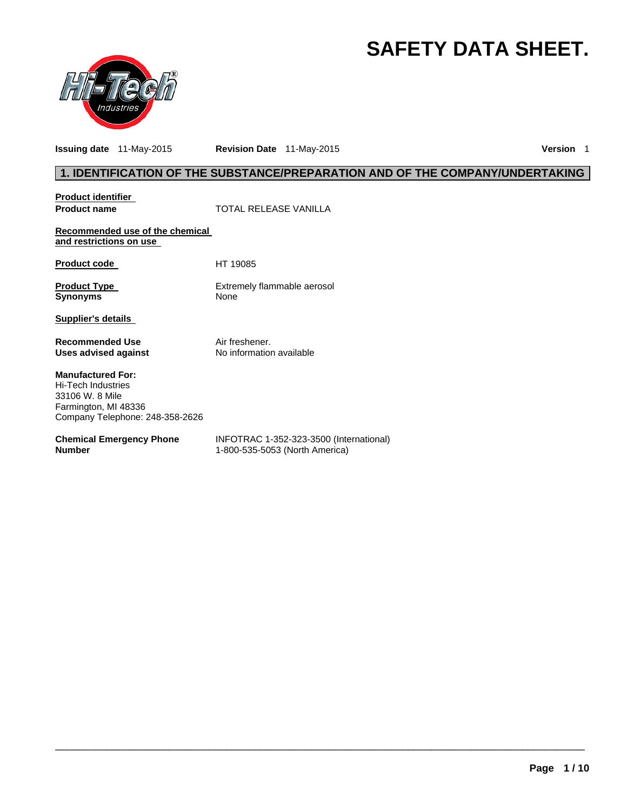# **SAFETY DATA SHEET.**



**Issuing date** 11-May-2015 **Revision Date** 11-May-2015 **Version** 1

# **1. IDENTIFICATION OF THE SUBSTANCE/PREPARATION AND OF THE COMPANY/UNDERTAKING**

**Product identifier** 

**Product name Manufacture 1 COTAL RELEASE VANILLA** 

**Recommended use of the chemical and restrictions on use** 

Product code HT 19085

**Product Type Extrement Control Control Control Control Control Control Control Control Control Control Control Control Control Control Control Control Control Control Control Control Control Control Control Control Contro** 

**Extremely flammable aerosol** 

**Supplier's details** 

**Recommended Use The Solution Convention Air freshener.**<br> **Uses advised against** No information available **Uses advised against** 

**Manufactured For:**  Hi-Tech Industries 33106 W. 8 Mile Farmington, MI 48336 Company Telephone: 248-358-2626

#### **Chemical Emergency Phone Number**

INFOTRAC 1-352-323-3500 (International) 1-800-535-5053 (North America)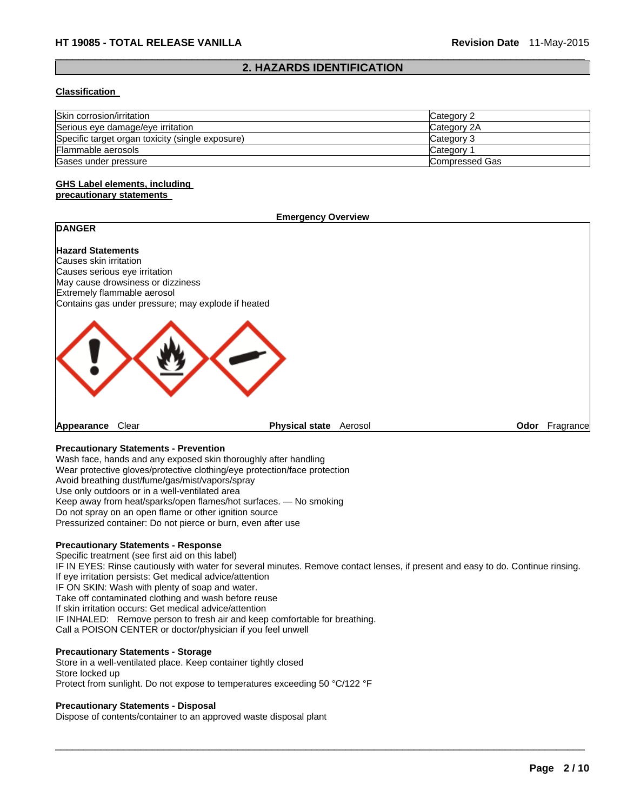### $\Box$ **2. HAZARDS IDENTIFICATION**

#### **Classification**

| Skin corrosion/irritation                        | Category 2     |
|--------------------------------------------------|----------------|
| Serious eye damage/eye irritation                | Category 2A    |
| Specific target organ toxicity (single exposure) | Category 3     |
| Flammable aerosols                               | Category       |
| Gases under pressure                             | Compressed Gas |

#### **GHS Label elements, including precautionary statements**

#### **Emergency Overview**

# **DANGER**

**Hazard Statements**  Causes skin irritation Causes serious eye irritation May cause drowsiness or dizziness Extremely flammable aerosol Contains gas under pressure; may explode if heated



**Appearance** Clear **Physical state** Aerosol **Odor** Fragrance

## **Precautionary Statements - Prevention**

Wash face, hands and any exposed skin thoroughly after handling Wear protective gloves/protective clothing/eye protection/face protection Avoid breathing dust/fume/gas/mist/vapors/spray Use only outdoors or in a well-ventilated area Keep away from heat/sparks/open flames/hot surfaces. — No smoking Do not spray on an open flame or other ignition source Pressurized container: Do not pierce or burn, even after use

#### **Precautionary Statements - Response**

Specific treatment (see first aid on this label) IF IN EYES: Rinse cautiously with water for several minutes. Remove contact lenses, if present and easy to do. Continue rinsing. If eye irritation persists: Get medical advice/attention IF ON SKIN: Wash with plenty of soap and water. Take off contaminated clothing and wash before reuse If skin irritation occurs: Get medical advice/attention IF INHALED: Remove person to fresh air and keep comfortable for breathing. Call a POISON CENTER or doctor/physician if you feel unwell

 $\Box$ 

#### **Precautionary Statements - Storage**

Store in a well-ventilated place. Keep container tightly closed Store locked up Protect from sunlight. Do not expose to temperatures exceeding 50 °C/122 °F

#### **Precautionary Statements - Disposal**

Dispose of contents/container to an approved waste disposal plant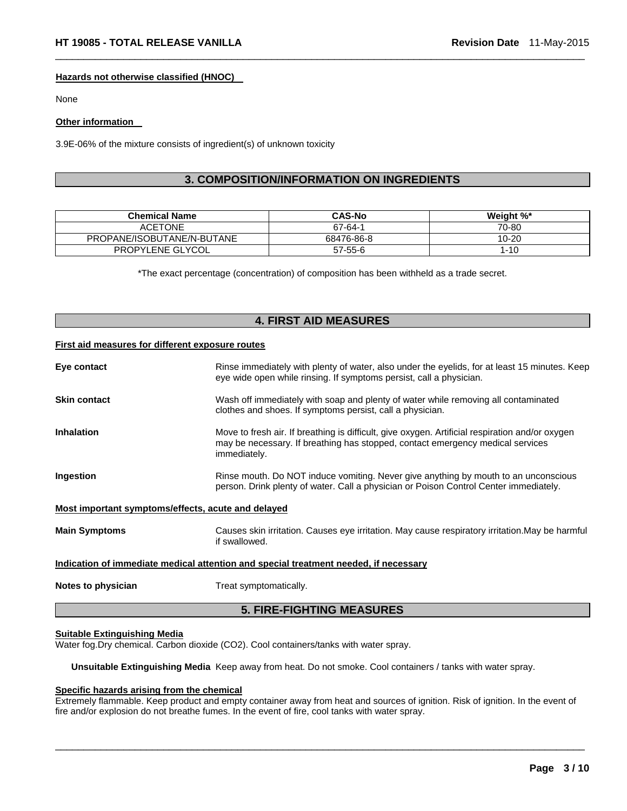#### **Hazards not otherwise classified (HNOC)**

None

#### **Other information**

3.9E-06% of the mixture consists of ingredient(s) of unknown toxicity

# **3. COMPOSITION/INFORMATION ON INGREDIENTS**

 $\Box$ 

| <b>Chemical Name</b>       | <b>CAS-No</b> | Weight %* |
|----------------------------|---------------|-----------|
| <b>ACETONE</b>             | 67-64-1       | 70-80     |
| PROPANE/ISOBUTANE/N-BUTANE | 68476-86-8    | $10 - 20$ |
| PROPYLENE GLYCOL           | $57 - 55 - 6$ | $1 - 10$  |

\*The exact percentage (concentration) of composition has been withheld as a trade secret.

# **4. FIRST AID MEASURES**

#### **First aid measures for different exposure routes**

| Eye contact                                                                          | Rinse immediately with plenty of water, also under the eyelids, for at least 15 minutes. Keep<br>eye wide open while rinsing. If symptoms persist, call a physician.                              |  |  |
|--------------------------------------------------------------------------------------|---------------------------------------------------------------------------------------------------------------------------------------------------------------------------------------------------|--|--|
| <b>Skin contact</b>                                                                  | Wash off immediately with soap and plenty of water while removing all contaminated<br>clothes and shoes. If symptoms persist, call a physician.                                                   |  |  |
| <b>Inhalation</b>                                                                    | Move to fresh air. If breathing is difficult, give oxygen. Artificial respiration and/or oxygen<br>may be necessary. If breathing has stopped, contact emergency medical services<br>immediately. |  |  |
| Ingestion                                                                            | Rinse mouth. Do NOT induce vomiting. Never give anything by mouth to an unconscious<br>person. Drink plenty of water. Call a physician or Poison Control Center immediately.                      |  |  |
| Most important symptoms/effects, acute and delayed                                   |                                                                                                                                                                                                   |  |  |
| <b>Main Symptoms</b>                                                                 | Causes skin irritation. Causes eye irritation. May cause respiratory irritation. May be harmful<br>if swallowed.                                                                                  |  |  |
| Indication of immediate medical attention and special treatment needed, if necessary |                                                                                                                                                                                                   |  |  |
| Notes to physician                                                                   | Treat symptomatically.                                                                                                                                                                            |  |  |

#### **5. FIRE-FIGHTING MEASURES**

#### **Suitable Extinguishing Media**

Water fog.Dry chemical. Carbon dioxide (CO2). Cool containers/tanks with water spray.

**Unsuitable Extinguishing Media** Keep away from heat. Do not smoke. Cool containers / tanks with water spray.

### **Specific hazards arising from the chemical**

Extremely flammable. Keep product and empty container away from heat and sources of ignition. Risk of ignition. In the event of fire and/or explosion do not breathe fumes. In the event of fire, cool tanks with water spray.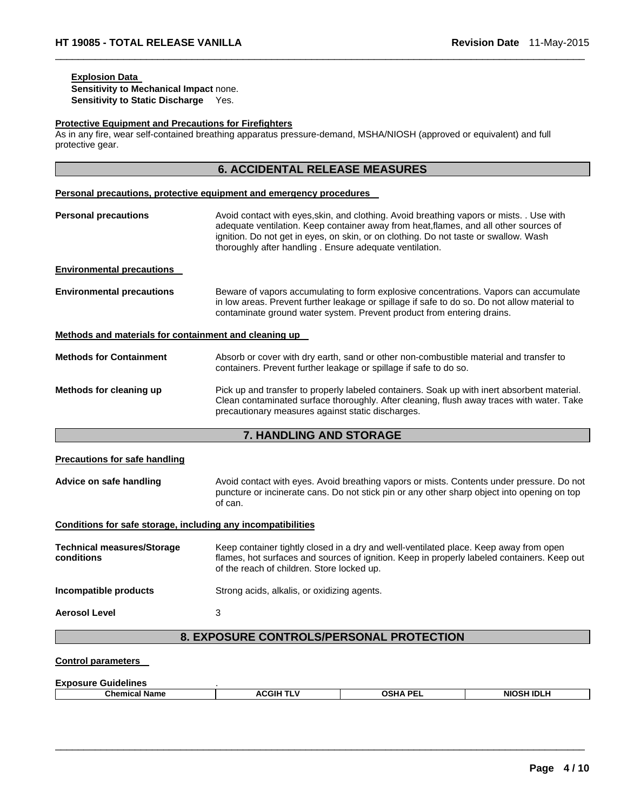# **Explosion Data**

**Sensitivity to Mechanical Impact** none. **Sensitivity to Static Discharge** Yes.

#### **Protective Equipment and Precautions for Firefighters**

As in any fire, wear self-contained breathing apparatus pressure-demand, MSHA/NIOSH (approved or equivalent) and full protective gear.

 $\Box$ 

|                                                              | <b>6. ACCIDENTAL RELEASE MEASURES</b>                                                                                                                                                                                                                                                                                                |
|--------------------------------------------------------------|--------------------------------------------------------------------------------------------------------------------------------------------------------------------------------------------------------------------------------------------------------------------------------------------------------------------------------------|
|                                                              | Personal precautions, protective equipment and emergency procedures                                                                                                                                                                                                                                                                  |
| <b>Personal precautions</b>                                  | Avoid contact with eyes, skin, and clothing. Avoid breathing vapors or mists. . Use with<br>adequate ventilation. Keep container away from heat, flames, and all other sources of<br>ignition. Do not get in eyes, on skin, or on clothing. Do not taste or swallow. Wash<br>thoroughly after handling. Ensure adequate ventilation. |
| <b>Environmental precautions</b>                             |                                                                                                                                                                                                                                                                                                                                      |
| <b>Environmental precautions</b>                             | Beware of vapors accumulating to form explosive concentrations. Vapors can accumulate<br>in low areas. Prevent further leakage or spillage if safe to do so. Do not allow material to<br>contaminate ground water system. Prevent product from entering drains.                                                                      |
| Methods and materials for containment and cleaning up        |                                                                                                                                                                                                                                                                                                                                      |
| <b>Methods for Containment</b>                               | Absorb or cover with dry earth, sand or other non-combustible material and transfer to<br>containers. Prevent further leakage or spillage if safe to do so.                                                                                                                                                                          |
| Methods for cleaning up                                      | Pick up and transfer to properly labeled containers. Soak up with inert absorbent material.<br>Clean contaminated surface thoroughly. After cleaning, flush away traces with water. Take<br>precautionary measures against static discharges.                                                                                        |
|                                                              | 7. HANDLING AND STORAGE                                                                                                                                                                                                                                                                                                              |
| <b>Precautions for safe handling</b>                         |                                                                                                                                                                                                                                                                                                                                      |
| Advice on safe handling                                      | Avoid contact with eyes. Avoid breathing vapors or mists. Contents under pressure. Do not<br>puncture or incinerate cans. Do not stick pin or any other sharp object into opening on top<br>of can.                                                                                                                                  |
| Conditions for safe storage, including any incompatibilities |                                                                                                                                                                                                                                                                                                                                      |
| <b>Technical measures/Storage</b><br>conditions              | Keep container tightly closed in a dry and well-ventilated place. Keep away from open<br>flames, hot surfaces and sources of ignition. Keep in properly labeled containers. Keep out<br>of the reach of children. Store locked up.                                                                                                   |
| Incompatible products                                        | Strong acids, alkalis, or oxidizing agents.                                                                                                                                                                                                                                                                                          |
| <b>Aerosol Level</b>                                         | 3                                                                                                                                                                                                                                                                                                                                    |
|                                                              | 8. EXPOSURE CONTROLS/PERSONAL PROTECTION                                                                                                                                                                                                                                                                                             |
| <b>Control parameters</b>                                    |                                                                                                                                                                                                                                                                                                                                      |
| Exnosure Guidelines                                          |                                                                                                                                                                                                                                                                                                                                      |

| LADUSUI C OUIUCIIIICS |      |                 |            |
|-----------------------|------|-----------------|------------|
| <b>Chemical Name</b>  | CGIH | <b>OSHA PEL</b> | NIOSH IDLH |
|                       |      |                 |            |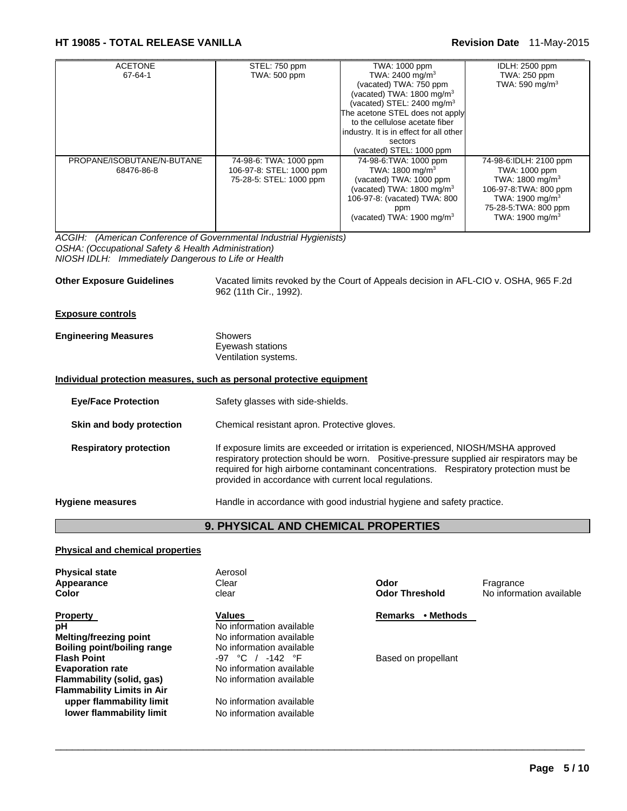# **HT 19085 - TOTAL RELEASE VANILLA Revision Date** 11-May-2015

| <b>ACETONE</b>             | STEL: 750 ppm            | TWA: 1000 ppm                           | IDLH: 2500 ppm              |
|----------------------------|--------------------------|-----------------------------------------|-----------------------------|
| 67-64-1                    | <b>TWA: 500 ppm</b>      | TWA: 2400 mg/m <sup>3</sup>             | TWA: 250 ppm                |
|                            |                          | (vacated) TWA: 750 ppm                  | TWA: 590 mg/m <sup>3</sup>  |
|                            |                          | (vacated) TWA: $1800$ mg/m <sup>3</sup> |                             |
|                            |                          | (vacated) STEL: 2400 mg/m <sup>3</sup>  |                             |
|                            |                          | The acetone STEL does not apply         |                             |
|                            |                          | to the cellulose acetate fiber          |                             |
|                            |                          | industry. It is in effect for all other |                             |
|                            |                          | sectors                                 |                             |
|                            |                          | (vacated) STEL: 1000 ppm                |                             |
| PROPANE/ISOBUTANE/N-BUTANE | 74-98-6: TWA: 1000 ppm   | 74-98-6: TWA: 1000 ppm                  | 74-98-6:IDLH: 2100 ppm      |
| 68476-86-8                 | 106-97-8: STEL: 1000 ppm | TWA: 1800 mg/m <sup>3</sup>             | TWA: 1000 ppm               |
|                            | 75-28-5: STEL: 1000 ppm  | (vacated) TWA: 1000 ppm                 | TWA: $1800 \text{ mg/m}^3$  |
|                            |                          | (vacated) TWA: $1800 \text{ mg/m}^3$    | 106-97-8: TWA: 800 ppm      |
|                            |                          | 106-97-8: (vacated) TWA: 800            | TWA: 1900 mg/m <sup>3</sup> |
|                            |                          | ppm                                     | 75-28-5: TWA: 800 ppm       |
|                            |                          | (vacated) TWA: $1900 \text{ mg/m}^3$    | TWA: 1900 mg/m $3$          |
|                            |                          |                                         |                             |

*ACGIH: (American Conference of Governmental Industrial Hygienists) OSHA: (Occupational Safety & Health Administration) NIOSH IDLH: Immediately Dangerous to Life or Health* 

**Other Exposure Guidelines** Vacated limits revoked by the Court of Appeals decision in AFL-CIO v. OSHA, 965 F.2d 962 (11th Cir., 1992).

#### **Exposure controls**

| <b>Engineering Measures</b> | Showers              |
|-----------------------------|----------------------|
|                             | Eyewash stations     |
|                             | Ventilation systems. |

#### **Individual protection measures, such as personal protective equipment**

| Safety glasses with side-shields.                                                                                                                                                                                                                                                                                                 |
|-----------------------------------------------------------------------------------------------------------------------------------------------------------------------------------------------------------------------------------------------------------------------------------------------------------------------------------|
| Chemical resistant apron. Protective gloves.                                                                                                                                                                                                                                                                                      |
| If exposure limits are exceeded or irritation is experienced, NIOSH/MSHA approved<br>respiratory protection should be worn.  Positive-pressure supplied air respirators may be<br>required for high airborne contaminant concentrations. Respiratory protection must be<br>provided in accordance with current local regulations. |
| Handle in accordance with good industrial hygiene and safety practice.                                                                                                                                                                                                                                                            |
|                                                                                                                                                                                                                                                                                                                                   |

# **9. PHYSICAL AND CHEMICAL PROPERTIES**

 $\Box$ 

#### **Physical and chemical properties**

| <b>Physical state</b><br>Appearance<br>Color | Aerosol<br>Clear<br>clear | Odor<br><b>Odor Threshold</b> | Fragrance<br>No information available |
|----------------------------------------------|---------------------------|-------------------------------|---------------------------------------|
| <b>Property</b>                              | <b>Values</b>             | • Methods<br><b>Remarks</b>   |                                       |
| pH                                           | No information available  |                               |                                       |
| <b>Melting/freezing point</b>                | No information available  |                               |                                       |
| Boiling point/boiling range                  | No information available  |                               |                                       |
| <b>Flash Point</b>                           | $-97$ °C / $-142$ °F      | Based on propellant           |                                       |
| <b>Evaporation rate</b>                      | No information available  |                               |                                       |
| Flammability (solid, gas)                    | No information available  |                               |                                       |
| <b>Flammability Limits in Air</b>            |                           |                               |                                       |
| upper flammability limit                     | No information available  |                               |                                       |
| lower flammability limit                     | No information available  |                               |                                       |
|                                              |                           |                               |                                       |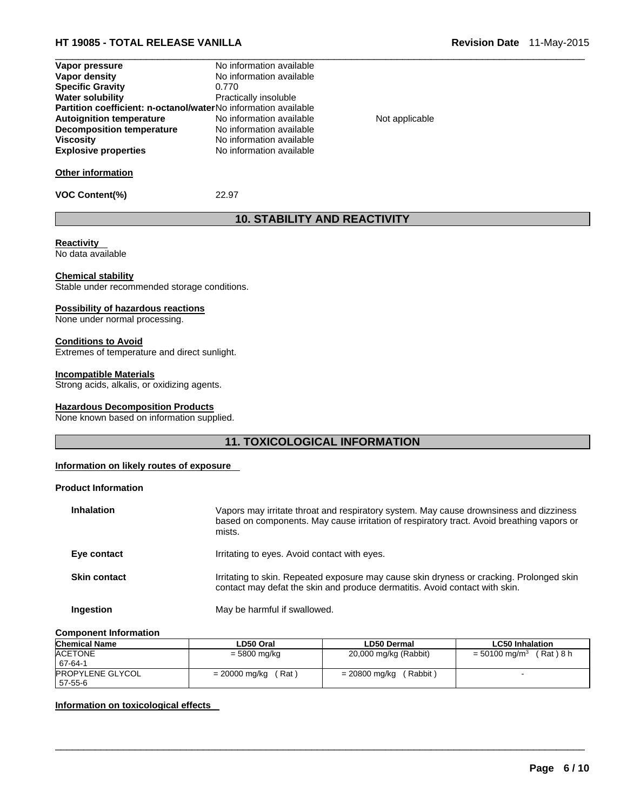# **HT 19085 - TOTAL RELEASE VANILLA Revision Date** 11-May-2015

| Vapor pressure                                                 | No information available |                |
|----------------------------------------------------------------|--------------------------|----------------|
| Vapor density                                                  | No information available |                |
| <b>Specific Gravity</b>                                        | 0.770                    |                |
| Water solubility                                               | Practically insoluble    |                |
| Partition coefficient: n-octanol/waterNo information available |                          |                |
| <b>Autoignition temperature</b>                                | No information available | Not applicable |
| <b>Decomposition temperature</b>                               | No information available |                |
| Viscositv                                                      | No information available |                |
| <b>Explosive properties</b>                                    | No information available |                |

**VOC Content(%)** 22.97

# **10. STABILITY AND REACTIVITY**

# **Reactivity**

No data available

#### **Chemical stability**

Stable under recommended storage conditions.

#### **Possibility of hazardous reactions**

None under normal processing.

### **Conditions to Avoid**

Extremes of temperature and direct sunlight.

#### **Incompatible Materials**

Strong acids, alkalis, or oxidizing agents.

#### **Hazardous Decomposition Products**

None known based on information supplied.

# **11. TOXICOLOGICAL INFORMATION**

#### **Information on likely routes of exposure**

#### **Product Information**

| <b>Inhalation</b>   | Vapors may irritate throat and respiratory system. May cause drownsiness and dizziness<br>based on components. May cause irritation of respiratory tract. Avoid breathing vapors or<br>mists. |
|---------------------|-----------------------------------------------------------------------------------------------------------------------------------------------------------------------------------------------|
| Eye contact         | Irritating to eyes. Avoid contact with eyes.                                                                                                                                                  |
| <b>Skin contact</b> | Irritating to skin. Repeated exposure may cause skin dryness or cracking. Prolonged skin<br>contact may defat the skin and produce dermatitis. Avoid contact with skin.                       |
| Ingestion           | May be harmful if swallowed.                                                                                                                                                                  |

#### **Component Information**

| <b>Chemical Name</b>    | LD50 Oral              | <b>LD50 Dermal</b>        | <b>LC50 Inhalation</b>                  |
|-------------------------|------------------------|---------------------------|-----------------------------------------|
| <b>ACETONE</b>          | $= 5800$ mg/kg         | 20,000 mg/kg (Rabbit)     | (Rat)8 h<br>$= 50100$ mg/m <sup>3</sup> |
| 67-64-1                 |                        |                           |                                         |
| <b>PROPYLENE GLYCOL</b> | (Rat)<br>= 20000 mg/kg | (Rabbit)<br>= 20800 mg/kg |                                         |
| 57-55-6                 |                        |                           |                                         |

 $\Box$ 

#### **Information on toxicological effects**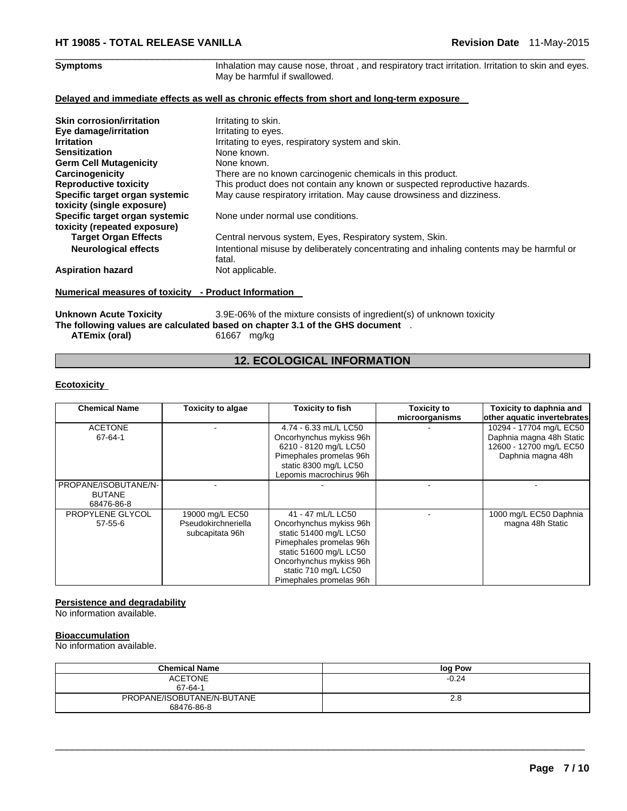# $\Box$

**Symptoms Inhalation may cause nose, throat**, and respiratory tract irritation. Irritation to skin and eyes. May be harmful if swallowed.

#### **Delayed and immediate effects as well as chronic effects from short and long-term exposure**

| <b>Skin corrosion/irritation</b><br>Eye damage/irritation<br><b>Irritation</b><br><b>Sensitization</b><br><b>Germ Cell Mutagenicity</b> | Irritating to skin.<br>Irritating to eyes.<br>Irritating to eyes, respiratory system and skin.<br>None known.<br>None known. |
|-----------------------------------------------------------------------------------------------------------------------------------------|------------------------------------------------------------------------------------------------------------------------------|
| Carcinogenicity                                                                                                                         | There are no known carcinogenic chemicals in this product.                                                                   |
| <b>Reproductive toxicity</b>                                                                                                            | This product does not contain any known or suspected reproductive hazards.                                                   |
| Specific target organ systemic<br>toxicity (single exposure)                                                                            | May cause respiratory irritation. May cause drowsiness and dizziness.                                                        |
| Specific target organ systemic                                                                                                          | None under normal use conditions.                                                                                            |
| toxicity (repeated exposure)                                                                                                            |                                                                                                                              |
| <b>Target Organ Effects</b>                                                                                                             | Central nervous system, Eyes, Respiratory system, Skin.                                                                      |
| <b>Neurological effects</b>                                                                                                             | Intentional misuse by deliberately concentrating and inhaling contents may be harmful or<br>fatal.                           |
| <b>Aspiration hazard</b>                                                                                                                | Not applicable.                                                                                                              |

### **Numerical measures of toxicity - Product Information**

Unknown Acute Toxicity 3.9E-06% of the mixture consists of ingredient(s) of unknown toxicity **The following values are calculated based on chapter 3.1 of the GHS document** . **ATEmix (oral)** 61667 mg/kg

# **12. ECOLOGICAL INFORMATION**

#### **Ecotoxicity**

| <b>Chemical Name</b><br><b>Toxicity to algae</b> |                     | <b>Toxicity to fish</b> | Toxicity to    | Toxicity to daphnia and     |
|--------------------------------------------------|---------------------|-------------------------|----------------|-----------------------------|
|                                                  |                     |                         | microorganisms | other aquatic invertebrates |
| <b>ACETONE</b>                                   |                     | 4.74 - 6.33 mL/L LC50   |                | 10294 - 17704 mg/L EC50     |
| 67-64-1                                          |                     | Oncorhynchus mykiss 96h |                | Daphnia magna 48h Static    |
|                                                  |                     | 6210 - 8120 mg/L LC50   |                | 12600 - 12700 mg/L EC50     |
|                                                  |                     | Pimephales promelas 96h |                | Daphnia magna 48h           |
|                                                  |                     | static 8300 mg/L LC50   |                |                             |
|                                                  |                     | Lepomis macrochirus 96h |                |                             |
| PROPANE/ISOBUTANE/N-                             |                     |                         |                |                             |
| <b>BUTANE</b>                                    |                     |                         |                |                             |
| 68476-86-8                                       |                     |                         |                |                             |
| PROPYLENE GLYCOL                                 | 19000 mg/L EC50     | 41 - 47 mL/L LC50       |                | 1000 mg/L EC50 Daphnia      |
| 57-55-6                                          | Pseudokirchneriella | Oncorhynchus mykiss 96h |                | magna 48h Static            |
|                                                  | subcapitata 96h     | static 51400 mg/L LC50  |                |                             |
|                                                  |                     | Pimephales promelas 96h |                |                             |
|                                                  |                     | static 51600 mg/L LC50  |                |                             |
|                                                  |                     | Oncorhynchus mykiss 96h |                |                             |
|                                                  |                     | static 710 mg/L LC50    |                |                             |
|                                                  |                     | Pimephales promelas 96h |                |                             |

## **Persistence and degradability**

No information available.

#### **Bioaccumulation**

No information available.

| <b>Chemical Name</b>       | log Pow |
|----------------------------|---------|
| <b>ACETONE</b>             | $-0.24$ |
| 67-64-1                    |         |
| PROPANE/ISOBUTANE/N-BUTANE | 2.8     |
| 68476-86-8                 |         |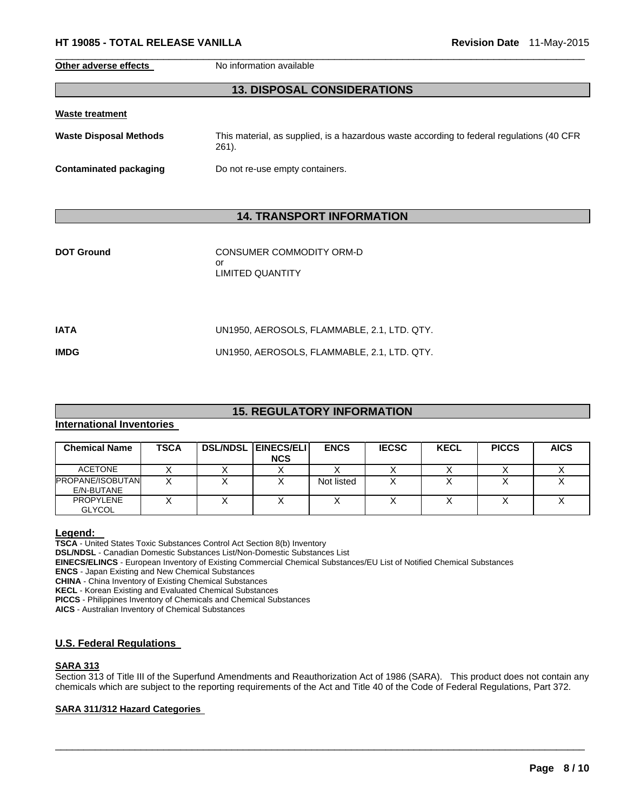**Other adverse effects** No information available

# **13. DISPOSAL CONSIDERATIONS**

 $\Box$ 

| <b>Waste treatment</b>        |                                                                                                    |
|-------------------------------|----------------------------------------------------------------------------------------------------|
| <b>Waste Disposal Methods</b> | This material, as supplied, is a hazardous waste according to federal regulations (40 CFR<br>261). |
| Contaminated packaging        | Do not re-use empty containers.                                                                    |

# **14. TRANSPORT INFORMATION**

| <b>DOT Ground</b> | CONSUMER COMMODITY ORM-D<br>or<br>LIMITED QUANTITY |
|-------------------|----------------------------------------------------|
| IATA              | UN1950, AEROSOLS, FLAMMABLE, 2.1, LTD. QTY.        |
| <b>IMDG</b>       | UN1950, AEROSOLS, FLAMMABLE, 2.1, LTD. QTY.        |

# **15. REGULATORY INFORMATION**

## **International Inventories**

| <b>Chemical Name</b>                  | <b>TSCA</b> | <b>DSL/NDSL EINECS/ELI</b><br><b>NCS</b> | <b>ENCS</b> | <b>IECSC</b> | <b>KECL</b> | <b>PICCS</b> | <b>AICS</b> |
|---------------------------------------|-------------|------------------------------------------|-------------|--------------|-------------|--------------|-------------|
| <b>ACETONE</b>                        |             |                                          |             |              |             |              |             |
| <b>PROPANE/ISOBUTAN</b><br>E/N-BUTANE |             |                                          | Not listed  |              |             |              |             |
| <b>PROPYLENE</b><br><b>GLYCOL</b>     |             |                                          |             |              |             |              |             |

**Legend: TSCA** - United States Toxic Substances Control Act Section 8(b) Inventory **DSL/NDSL** - Canadian Domestic Substances List/Non-Domestic Substances List **EINECS/ELINCS** - European Inventory of Existing Commercial Chemical Substances/EU List of Notified Chemical Substances

**ENCS** - Japan Existing and New Chemical Substances

**CHINA** - China Inventory of Existing Chemical Substances

**KECL** - Korean Existing and Evaluated Chemical Substances

**PICCS** - Philippines Inventory of Chemicals and Chemical Substances

**AICS** - Australian Inventory of Chemical Substances

#### **U.S. Federal Regulations**

#### **SARA 313**

Section 313 of Title III of the Superfund Amendments and Reauthorization Act of 1986 (SARA). This product does not contain any chemicals which are subject to the reporting requirements of the Act and Title 40 of the Code of Federal Regulations, Part 372.

 $\Box$ 

# **SARA 311/312 Hazard Categories**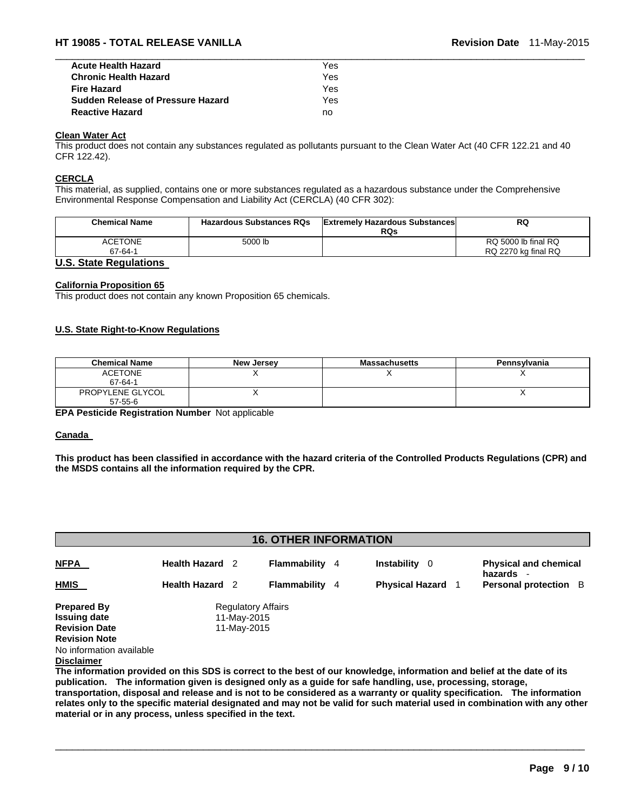| <b>Acute Health Hazard</b>               | Yes |  |
|------------------------------------------|-----|--|
| <b>Chronic Health Hazard</b>             | Yes |  |
| <b>Fire Hazard</b>                       | Yes |  |
| <b>Sudden Release of Pressure Hazard</b> | Yes |  |
| <b>Reactive Hazard</b>                   | no  |  |

# **Clean Water Act**

This product does not contain any substances regulated as pollutants pursuant to the Clean Water Act (40 CFR 122.21 and 40 CFR 122.42).

#### **CERCLA**

This material, as supplied, contains one or more substances regulated as a hazardous substance under the Comprehensive Environmental Response Compensation and Liability Act (CERCLA) (40 CFR 302):

| <b>Chemical Name</b> | <b>Hazardous Substances RQs</b> | <b>Extremely Hazardous Substances</b><br><b>RQs</b> | RQ                  |
|----------------------|---------------------------------|-----------------------------------------------------|---------------------|
| ACETONE              | 5000 lb                         |                                                     | RQ 5000 lb final RQ |
| 67-64-1              |                                 |                                                     | RQ 2270 kg final RQ |
| .<br>.               |                                 |                                                     |                     |

#### **U.S. State Regulations**

#### **California Proposition 65**

This product does not contain any known Proposition 65 chemicals.

#### **U.S. State Right-to-Know Regulations**

| <b>Chemical Name</b>        | <b>New Jersey</b> | <b>Massachusetts</b> | Pennsylvania |
|-----------------------------|-------------------|----------------------|--------------|
| <b>ACETONE</b><br>67-64-1   |                   |                      |              |
| PROPYLENE GLYCOL<br>57-55-6 |                   |                      |              |

**EPA Pesticide Registration Number** Not applicable

#### **Canada**

**This product has been classified in accordance with the hazard criteria of the Controlled Products Regulations (CPR) and the MSDS contains all the information required by the CPR.** 

| <b>16. OTHER INFORMATION</b>                                                              |                        |                                                         |                       |  |                           |  |                                         |
|-------------------------------------------------------------------------------------------|------------------------|---------------------------------------------------------|-----------------------|--|---------------------------|--|-----------------------------------------|
| <b>NFPA</b>                                                                               | <b>Health Hazard</b> 2 |                                                         | <b>Flammability</b> 4 |  | <b>Instability</b><br>- 0 |  | <b>Physical and chemical</b><br>hazards |
| <b>HMIS</b>                                                                               | <b>Health Hazard</b> 2 |                                                         | <b>Flammability</b> 4 |  | <b>Physical Hazard</b>    |  | Personal protection B                   |
| <b>Prepared By</b><br><b>Issuing date</b><br><b>Revision Date</b><br><b>Revision Note</b> |                        | <b>Regulatory Affairs</b><br>11-May-2015<br>11-May-2015 |                       |  |                           |  |                                         |
| No information available<br><b>Disclaimer</b>                                             |                        |                                                         |                       |  |                           |  |                                         |

**The information provided on this SDS is correct to the best of our knowledge, information and belief at the date of its publication. The information given is designed only as a guide for safe handling, use, processing, storage, transportation, disposal and release and is not to be considered as a warranty or quality specification. The information relates only to the specific material designated and may not be valid for such material used in combination with any other material or in any process, unless specified in the text.**